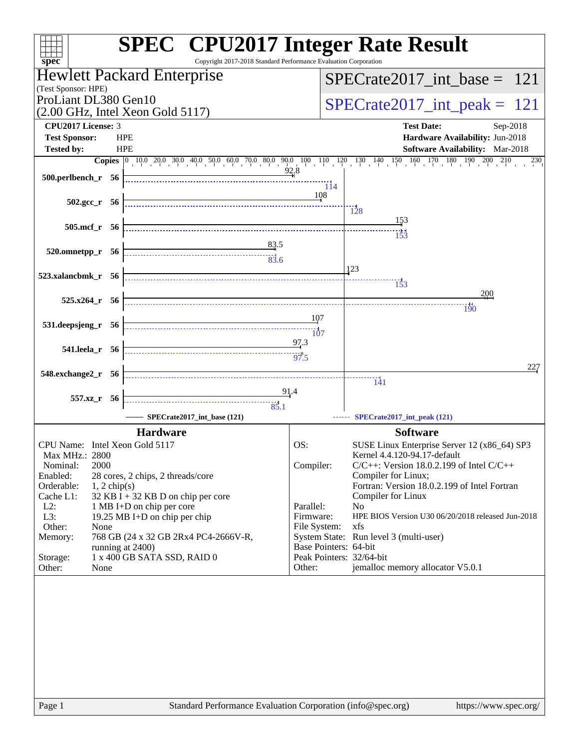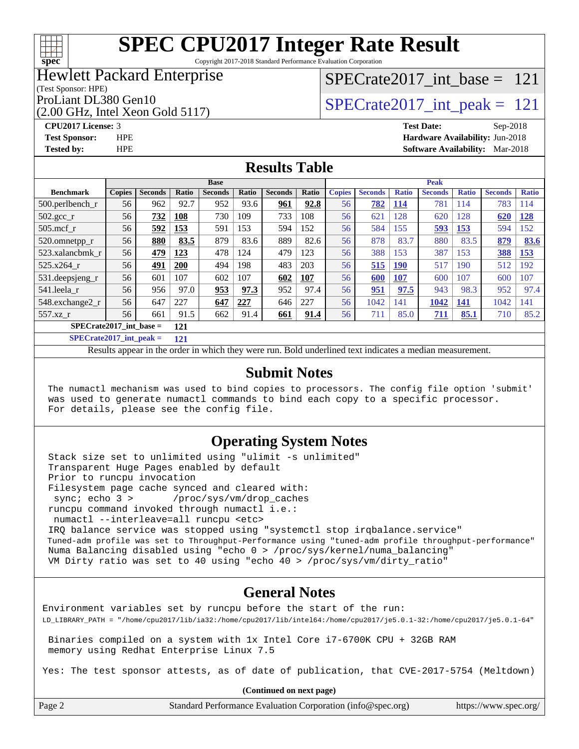# **[spec](http://www.spec.org/)**

# **[SPEC CPU2017 Integer Rate Result](http://www.spec.org/auto/cpu2017/Docs/result-fields.html#SPECCPU2017IntegerRateResult)**

Copyright 2017-2018 Standard Performance Evaluation Corporation

# Hewlett Packard Enterprise

### (Test Sponsor: HPE)

(2.00 GHz, Intel Xeon Gold 5117)

# [SPECrate2017\\_int\\_base =](http://www.spec.org/auto/cpu2017/Docs/result-fields.html#SPECrate2017intbase) 121

# ProLiant DL380 Gen10  $\text{SPECrate2017\_int\_peak} = 121$

**[CPU2017 License:](http://www.spec.org/auto/cpu2017/Docs/result-fields.html#CPU2017License)** 3 **[Test Date:](http://www.spec.org/auto/cpu2017/Docs/result-fields.html#TestDate)** Sep-2018 **[Test Sponsor:](http://www.spec.org/auto/cpu2017/Docs/result-fields.html#TestSponsor)** HPE **[Hardware Availability:](http://www.spec.org/auto/cpu2017/Docs/result-fields.html#HardwareAvailability)** Jun-2018 **[Tested by:](http://www.spec.org/auto/cpu2017/Docs/result-fields.html#Testedby)** HPE **[Software Availability:](http://www.spec.org/auto/cpu2017/Docs/result-fields.html#SoftwareAvailability)** Mar-2018

## **[Results Table](http://www.spec.org/auto/cpu2017/Docs/result-fields.html#ResultsTable)**

|                                | <b>Base</b>   |                |       |                | <b>Peak</b>  |                |       |               |                |              |                |              |                |              |
|--------------------------------|---------------|----------------|-------|----------------|--------------|----------------|-------|---------------|----------------|--------------|----------------|--------------|----------------|--------------|
| <b>Benchmark</b>               | <b>Copies</b> | <b>Seconds</b> | Ratio | <b>Seconds</b> | <b>Ratio</b> | <b>Seconds</b> | Ratio | <b>Copies</b> | <b>Seconds</b> | <b>Ratio</b> | <b>Seconds</b> | <b>Ratio</b> | <b>Seconds</b> | <b>Ratio</b> |
| $500$ .perlbench r             | 56            | 962            | 92.7  | 952            | 93.6         | 961            | 92.8  | 56            | 782            | <b>114</b>   | 781            | 114          | 783            | 114          |
| $502.\text{sec}$               | 56            | 732            | 108   | 730            | 109          | 733            | 108   | 56            | 621            | 128          | 620            | 128          | 620            | 128          |
| $505$ .mcf r                   | 56            | 592            | 153   | 591            | 153          | 594            | 152   | 56            | 584            | 155          | 593            | 153          | 594            | 152          |
| 520.omnetpp_r                  | 56            | 880            | 83.5  | 879            | 83.6         | 889            | 82.6  | 56            | 878            | 83.7         | 880            | 83.5         | 879            | 83.6         |
| 523.xalancbmk r                | 56            | 479            | 123   | 478            | 124          | 479            | 123   | 56            | 388            | 153          | 387            | 153          | 388            | 153          |
| 525.x264 r                     | 56            | 491            | 200   | 494            | 198          | 483            | 203   | 56            | 515            | <u>190</u>   | 517            | 190          | 512            | 192          |
| 531.deepsjeng_r                | 56            | 601            | 107   | 602            | 107          | 602            | 107   | 56            | 600            | 107          | 600            | 107          | 600            | 107          |
| 541.leela r                    | 56            | 956            | 97.0  | 953            | 97.3         | 952            | 97.4  | 56            | 951            | 97.5         | 943            | 98.3         | 952            | 97.4         |
| 548.exchange2_r                | 56            | 647            | 227   | 647            | 227          | 646            | 227   | 56            | 1042           | 141          | 1042           | 141          | 1042           | 141          |
| 557.xz r                       | 56            | 661            | 91.5  | 662            | 91.4         | 661            | 91.4  | 56            | 711            | 85.0         | 711            | 85.1         | 710            | 85.2         |
| SPECrate2017_int_base =<br>121 |               |                |       |                |              |                |       |               |                |              |                |              |                |              |

**[SPECrate2017\\_int\\_peak =](http://www.spec.org/auto/cpu2017/Docs/result-fields.html#SPECrate2017intpeak) 121**

Results appear in the [order in which they were run.](http://www.spec.org/auto/cpu2017/Docs/result-fields.html#RunOrder) Bold underlined text [indicates a median measurement.](http://www.spec.org/auto/cpu2017/Docs/result-fields.html#Median)

### **[Submit Notes](http://www.spec.org/auto/cpu2017/Docs/result-fields.html#SubmitNotes)**

 The numactl mechanism was used to bind copies to processors. The config file option 'submit' was used to generate numactl commands to bind each copy to a specific processor. For details, please see the config file.

### **[Operating System Notes](http://www.spec.org/auto/cpu2017/Docs/result-fields.html#OperatingSystemNotes)**

 Stack size set to unlimited using "ulimit -s unlimited" Transparent Huge Pages enabled by default Prior to runcpu invocation Filesystem page cache synced and cleared with: sync; echo 3 > /proc/sys/vm/drop\_caches runcpu command invoked through numactl i.e.: numactl --interleave=all runcpu <etc> IRQ balance service was stopped using "systemctl stop irqbalance.service" Tuned-adm profile was set to Throughput-Performance using "tuned-adm profile throughput-performance" Numa Balancing disabled using "echo 0 > /proc/sys/kernel/numa\_balancing" VM Dirty ratio was set to 40 using "echo 40 > /proc/sys/vm/dirty\_ratio"

### **[General Notes](http://www.spec.org/auto/cpu2017/Docs/result-fields.html#GeneralNotes)**

Environment variables set by runcpu before the start of the run: LD\_LIBRARY\_PATH = "/home/cpu2017/lib/ia32:/home/cpu2017/lib/intel64:/home/cpu2017/je5.0.1-32:/home/cpu2017/je5.0.1-64"

 Binaries compiled on a system with 1x Intel Core i7-6700K CPU + 32GB RAM memory using Redhat Enterprise Linux 7.5

Yes: The test sponsor attests, as of date of publication, that CVE-2017-5754 (Meltdown)

**(Continued on next page)**

Page 2 Standard Performance Evaluation Corporation [\(info@spec.org\)](mailto:info@spec.org) <https://www.spec.org/>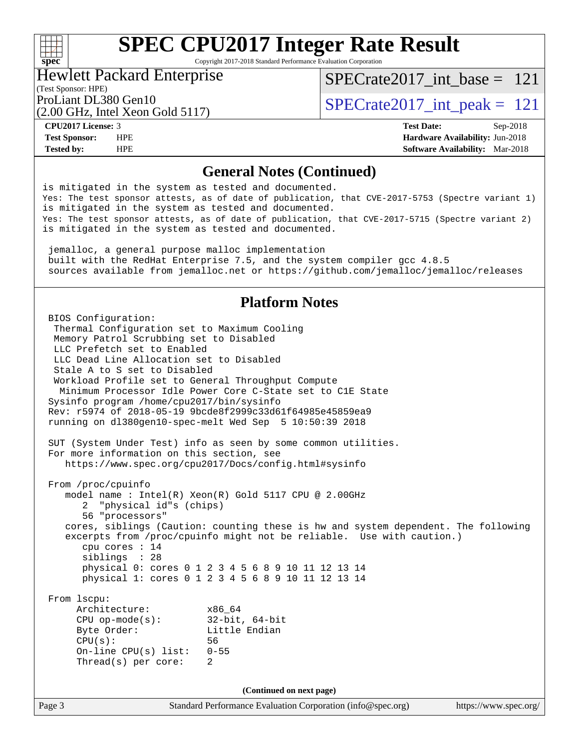## $+\hskip -1.5pt +\hskip -1.5pt +$ **[spec](http://www.spec.org/)**

# **[SPEC CPU2017 Integer Rate Result](http://www.spec.org/auto/cpu2017/Docs/result-fields.html#SPECCPU2017IntegerRateResult)**

Copyright 2017-2018 Standard Performance Evaluation Corporation

### Hewlett Packard Enterprise

[SPECrate2017\\_int\\_base =](http://www.spec.org/auto/cpu2017/Docs/result-fields.html#SPECrate2017intbase) 121

# (Test Sponsor: HPE)

(2.00 GHz, Intel Xeon Gold 5117)

ProLiant DL380 Gen10  $\text{SPECrate2017\_int\_peak} = 121$ 

**[CPU2017 License:](http://www.spec.org/auto/cpu2017/Docs/result-fields.html#CPU2017License)** 3 **[Test Date:](http://www.spec.org/auto/cpu2017/Docs/result-fields.html#TestDate)** Sep-2018 **[Test Sponsor:](http://www.spec.org/auto/cpu2017/Docs/result-fields.html#TestSponsor)** HPE **[Hardware Availability:](http://www.spec.org/auto/cpu2017/Docs/result-fields.html#HardwareAvailability)** Jun-2018 **[Tested by:](http://www.spec.org/auto/cpu2017/Docs/result-fields.html#Testedby)** HPE **[Software Availability:](http://www.spec.org/auto/cpu2017/Docs/result-fields.html#SoftwareAvailability)** Mar-2018

## **[General Notes \(Continued\)](http://www.spec.org/auto/cpu2017/Docs/result-fields.html#GeneralNotes)**

Page 3 Standard Performance Evaluation Corporation [\(info@spec.org\)](mailto:info@spec.org) <https://www.spec.org/> is mitigated in the system as tested and documented. Yes: The test sponsor attests, as of date of publication, that CVE-2017-5753 (Spectre variant 1) is mitigated in the system as tested and documented. Yes: The test sponsor attests, as of date of publication, that CVE-2017-5715 (Spectre variant 2) is mitigated in the system as tested and documented. jemalloc, a general purpose malloc implementation built with the RedHat Enterprise 7.5, and the system compiler gcc 4.8.5 sources available from jemalloc.net or<https://github.com/jemalloc/jemalloc/releases> **[Platform Notes](http://www.spec.org/auto/cpu2017/Docs/result-fields.html#PlatformNotes)** BIOS Configuration: Thermal Configuration set to Maximum Cooling Memory Patrol Scrubbing set to Disabled LLC Prefetch set to Enabled LLC Dead Line Allocation set to Disabled Stale A to S set to Disabled Workload Profile set to General Throughput Compute Minimum Processor Idle Power Core C-State set to C1E State Sysinfo program /home/cpu2017/bin/sysinfo Rev: r5974 of 2018-05-19 9bcde8f2999c33d61f64985e45859ea9 running on dl380gen10-spec-melt Wed Sep 5 10:50:39 2018 SUT (System Under Test) info as seen by some common utilities. For more information on this section, see <https://www.spec.org/cpu2017/Docs/config.html#sysinfo> From /proc/cpuinfo model name : Intel(R) Xeon(R) Gold 5117 CPU @ 2.00GHz 2 "physical id"s (chips) 56 "processors" cores, siblings (Caution: counting these is hw and system dependent. The following excerpts from /proc/cpuinfo might not be reliable. Use with caution.) cpu cores : 14 siblings : 28 physical 0: cores 0 1 2 3 4 5 6 8 9 10 11 12 13 14 physical 1: cores 0 1 2 3 4 5 6 8 9 10 11 12 13 14 From lscpu: Architecture: x86\_64 CPU op-mode(s): 32-bit, 64-bit Byte Order: Little Endian CPU(s): 56 On-line CPU(s) list: 0-55 Thread(s) per core: 2 **(Continued on next page)**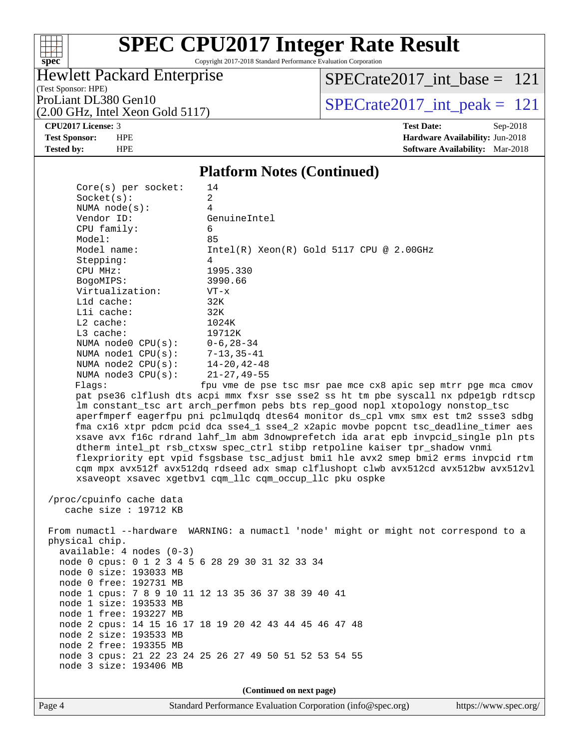

Copyright 2017-2018 Standard Performance Evaluation Corporation

## Hewlett Packard Enterprise

(Test Sponsor: HPE)

[SPECrate2017\\_int\\_base =](http://www.spec.org/auto/cpu2017/Docs/result-fields.html#SPECrate2017intbase) 121

(2.00 GHz, Intel Xeon Gold 5117)

ProLiant DL380 Gen10<br>(2.00 GHz, Intel Xeon Gold 5117)  $\text{SPECrate2017\_int\_peak} = 121$ 

**[CPU2017 License:](http://www.spec.org/auto/cpu2017/Docs/result-fields.html#CPU2017License)** 3 **[Test Date:](http://www.spec.org/auto/cpu2017/Docs/result-fields.html#TestDate)** Sep-2018

**[Test Sponsor:](http://www.spec.org/auto/cpu2017/Docs/result-fields.html#TestSponsor)** HPE **[Hardware Availability:](http://www.spec.org/auto/cpu2017/Docs/result-fields.html#HardwareAvailability)** Jun-2018 **[Tested by:](http://www.spec.org/auto/cpu2017/Docs/result-fields.html#Testedby)** HPE **[Software Availability:](http://www.spec.org/auto/cpu2017/Docs/result-fields.html#SoftwareAvailability)** Mar-2018

# **[Platform Notes \(Continued\)](http://www.spec.org/auto/cpu2017/Docs/result-fields.html#PlatformNotes)**

| $Core(s)$ per socket:            | 14                                                                                   |
|----------------------------------|--------------------------------------------------------------------------------------|
| Socket(s):                       | 2                                                                                    |
| NUMA $node(s)$ :                 | 4                                                                                    |
| Vendor ID:                       | GenuineIntel                                                                         |
| CPU family:                      | 6                                                                                    |
| Model:                           | 85                                                                                   |
| Model name:                      | $Intel(R)$ Xeon $(R)$ Gold 5117 CPU @ 2.00GHz                                        |
| Stepping:                        | $\overline{4}$                                                                       |
| CPU MHz:                         | 1995.330                                                                             |
| BogoMIPS:                        | 3990.66                                                                              |
| Virtualization:                  | $VT - x$                                                                             |
| L1d cache:                       | 32K                                                                                  |
| Lli cache:                       | 32K                                                                                  |
| $L2$ cache:                      | 1024K                                                                                |
| $L3$ cache:                      | 19712K                                                                               |
| NUMA node0 $CPU(s): 0-6, 28-34$  |                                                                                      |
| NUMA nodel $CPU(s): 7-13, 35-41$ |                                                                                      |
| NUMA node2 CPU(s): 14-20, 42-48  |                                                                                      |
| NUMA node3 CPU(s):               | 21-27,49-55                                                                          |
| Flaqs:                           | fpu vme de pse tsc msr pae mce cx8 apic sep mtrr pqe mca cmov                        |
|                                  | pat pse36 clflush dts acpi mmx fxsr sse sse2 ss ht tm pbe syscall nx pdpe1gb rdtscp  |
|                                  | Im constant tsc art arch perfmon pebs bts rep good nopl xtopology nonstop tsc        |
|                                  | aperfmperf eagerfpu pni pclmulgdg dtes64 monitor ds cpl vmx smx est tm2 ssse3 sdbg   |
|                                  | fma cx16 xtpr pdcm pcid dca sse4 1 sse4 2 x2apic movbe popcnt tsc deadline timer aes |
|                                  | xsave avx f16c rdrand lahf lm abm 3dnowprefetch ida arat epb invpcid single pln pts  |
|                                  | dtherm intel pt rsb ctxsw spec ctrl stibp retpoline kaiser tpr shadow vnmi           |
|                                  | flexpriority ept vpid fsgsbase tsc adjust bmil hle avx2 smep bmi2 erms invpcid rtm   |
|                                  | cqm mpx avx512f avx512dq rdseed adx smap clflushopt clwb avx512cd avx512bw avx512vl  |
|                                  | xsaveopt xsavec xgetbyl cgm llc cgm occup llc pku ospke                              |
|                                  |                                                                                      |

 /proc/cpuinfo cache data cache size : 19712 KB

 From numactl --hardware WARNING: a numactl 'node' might or might not correspond to a physical chip. available: 4 nodes (0-3) node 0 cpus: 0 1 2 3 4 5 6 28 29 30 31 32 33 34 node 0 size: 193033 MB node 0 free: 192731 MB node 1 cpus: 7 8 9 10 11 12 13 35 36 37 38 39 40 41 node 1 size: 193533 MB node 1 free: 193227 MB node 2 cpus: 14 15 16 17 18 19 20 42 43 44 45 46 47 48 node 2 size: 193533 MB node 2 free: 193355 MB node 3 cpus: 21 22 23 24 25 26 27 49 50 51 52 53 54 55 node 3 size: 193406 MB

**(Continued on next page)**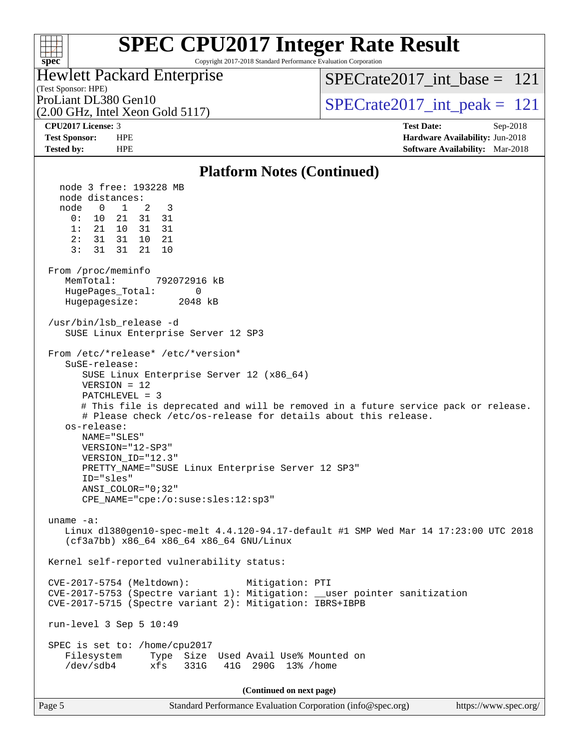## $+\ +$ **[spec](http://www.spec.org/)**

# **[SPEC CPU2017 Integer Rate Result](http://www.spec.org/auto/cpu2017/Docs/result-fields.html#SPECCPU2017IntegerRateResult)**

Copyright 2017-2018 Standard Performance Evaluation Corporation

# Hewlett Packard Enterprise

[SPECrate2017\\_int\\_base =](http://www.spec.org/auto/cpu2017/Docs/result-fields.html#SPECrate2017intbase) 121

(Test Sponsor: HPE)

(2.00 GHz, Intel Xeon Gold 5117)

ProLiant DL380 Gen10  $SPECTATE$   $SPECTATE$   $SCHZ$  Intel Year Gold 5117)

**[CPU2017 License:](http://www.spec.org/auto/cpu2017/Docs/result-fields.html#CPU2017License)** 3 **[Test Date:](http://www.spec.org/auto/cpu2017/Docs/result-fields.html#TestDate)** Sep-2018 **[Test Sponsor:](http://www.spec.org/auto/cpu2017/Docs/result-fields.html#TestSponsor)** HPE **[Hardware Availability:](http://www.spec.org/auto/cpu2017/Docs/result-fields.html#HardwareAvailability)** Jun-2018

### **[Tested by:](http://www.spec.org/auto/cpu2017/Docs/result-fields.html#Testedby)** HPE **[Software Availability:](http://www.spec.org/auto/cpu2017/Docs/result-fields.html#SoftwareAvailability)** Mar-2018 **[Platform Notes \(Continued\)](http://www.spec.org/auto/cpu2017/Docs/result-fields.html#PlatformNotes)** node 3 free: 193228 MB node distances: node 0 1 2 3 0: 10 21 31 31 1: 21 10 31 31 2: 31 31 10 21 3: 31 31 21 10 From /proc/meminfo MemTotal: 792072916 kB HugePages\_Total: 0 Hugepagesize: 2048 kB /usr/bin/lsb\_release -d SUSE Linux Enterprise Server 12 SP3 From /etc/\*release\* /etc/\*version\* SuSE-release: SUSE Linux Enterprise Server 12 (x86\_64) VERSION = 12 PATCHLEVEL = 3 # This file is deprecated and will be removed in a future service pack or release. # Please check /etc/os-release for details about this release. os-release: NAME="SLES" VERSION="12-SP3" VERSION\_ID="12.3" PRETTY\_NAME="SUSE Linux Enterprise Server 12 SP3" ID="sles" ANSI\_COLOR="0;32" CPE\_NAME="cpe:/o:suse:sles:12:sp3" uname -a: Linux dl380gen10-spec-melt 4.4.120-94.17-default #1 SMP Wed Mar 14 17:23:00 UTC 2018 (cf3a7bb) x86\_64 x86\_64 x86\_64 GNU/Linux Kernel self-reported vulnerability status: CVE-2017-5754 (Meltdown): Mitigation: PTI CVE-2017-5753 (Spectre variant 1): Mitigation: \_\_user pointer sanitization CVE-2017-5715 (Spectre variant 2): Mitigation: IBRS+IBPB run-level 3 Sep 5 10:49 SPEC is set to: /home/cpu2017 Filesystem Type Size Used Avail Use% Mounted on /dev/sdb4 xfs 331G 41G 290G 13% /home **(Continued on next page)**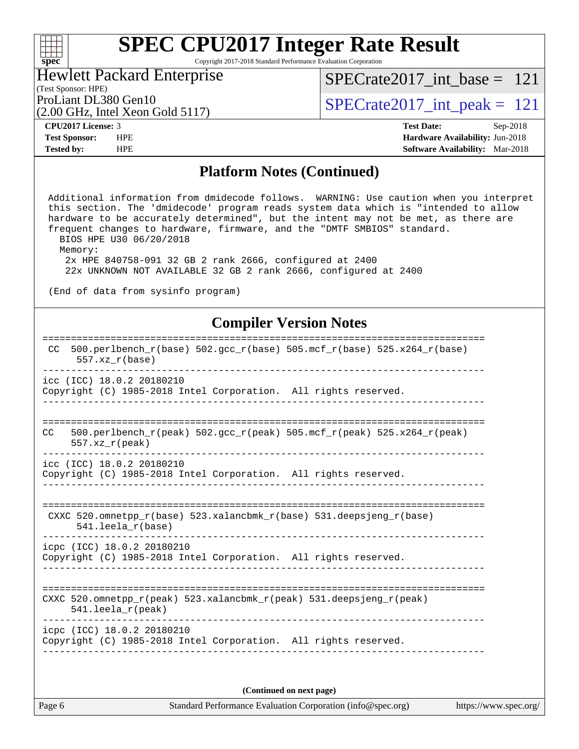## $\pm\pm\prime$ **[spec](http://www.spec.org/)**

# **[SPEC CPU2017 Integer Rate Result](http://www.spec.org/auto/cpu2017/Docs/result-fields.html#SPECCPU2017IntegerRateResult)**

Copyright 2017-2018 Standard Performance Evaluation Corporation

### Hewlett Packard Enterprise

[SPECrate2017\\_int\\_base =](http://www.spec.org/auto/cpu2017/Docs/result-fields.html#SPECrate2017intbase) 121

# (Test Sponsor: HPE)

(2.00 GHz, Intel Xeon Gold 5117)

ProLiant DL380 Gen10<br>(2.00 GHz, Intel Xeon Gold 5117)  $\text{SPECrate2017\_int\_peak} = 121$ 

**[CPU2017 License:](http://www.spec.org/auto/cpu2017/Docs/result-fields.html#CPU2017License)** 3 **[Test Date:](http://www.spec.org/auto/cpu2017/Docs/result-fields.html#TestDate)** Sep-2018 **[Test Sponsor:](http://www.spec.org/auto/cpu2017/Docs/result-fields.html#TestSponsor)** HPE **[Hardware Availability:](http://www.spec.org/auto/cpu2017/Docs/result-fields.html#HardwareAvailability)** Jun-2018 **[Tested by:](http://www.spec.org/auto/cpu2017/Docs/result-fields.html#Testedby)** HPE **[Software Availability:](http://www.spec.org/auto/cpu2017/Docs/result-fields.html#SoftwareAvailability)** Mar-2018

### **[Platform Notes \(Continued\)](http://www.spec.org/auto/cpu2017/Docs/result-fields.html#PlatformNotes)**

 Additional information from dmidecode follows. WARNING: Use caution when you interpret this section. The 'dmidecode' program reads system data which is "intended to allow hardware to be accurately determined", but the intent may not be met, as there are frequent changes to hardware, firmware, and the "DMTF SMBIOS" standard. BIOS HPE U30 06/20/2018 Memory: 2x HPE 840758-091 32 GB 2 rank 2666, configured at 2400 22x UNKNOWN NOT AVAILABLE 32 GB 2 rank 2666, configured at 2400

(End of data from sysinfo program)

## **[Compiler Version Notes](http://www.spec.org/auto/cpu2017/Docs/result-fields.html#CompilerVersionNotes)**

| $500. perlbench_r(base) 502. gcc_r(base) 505. mcf_r(base) 525. x264_r(base)$<br>CC.<br>$557. xz_r(base)$                   |
|----------------------------------------------------------------------------------------------------------------------------|
| icc (ICC) 18.0.2 20180210<br>Copyright (C) 1985-2018 Intel Corporation. All rights reserved.                               |
| 500.perlbench r(peak) 502.qcc r(peak) 505.mcf r(peak) 525.x264 r(peak)<br>CC<br>$557.xx$ r(peak)                           |
| icc (ICC) 18.0.2 20180210<br>Copyright (C) 1985-2018 Intel Corporation. All rights reserved.                               |
| CXXC 520.omnetpp $r(base)$ 523.xalancbmk $r(base)$ 531.deepsjeng $r(base)$<br>$541.$ leela r(base)                         |
| icpc (ICC) 18.0.2 20180210<br>Copyright (C) 1985-2018 Intel Corporation. All rights reserved.                              |
| CXXC 520.omnetpp $r(\text{peak})$ 523.xalancbmk $r(\text{peak})$ 531.deepsjeng $r(\text{peak})$<br>$541.$ leela $r$ (peak) |
| icpc (ICC) 18.0.2 20180210<br>Copyright (C) 1985-2018 Intel Corporation. All rights reserved.                              |
|                                                                                                                            |

**(Continued on next page)**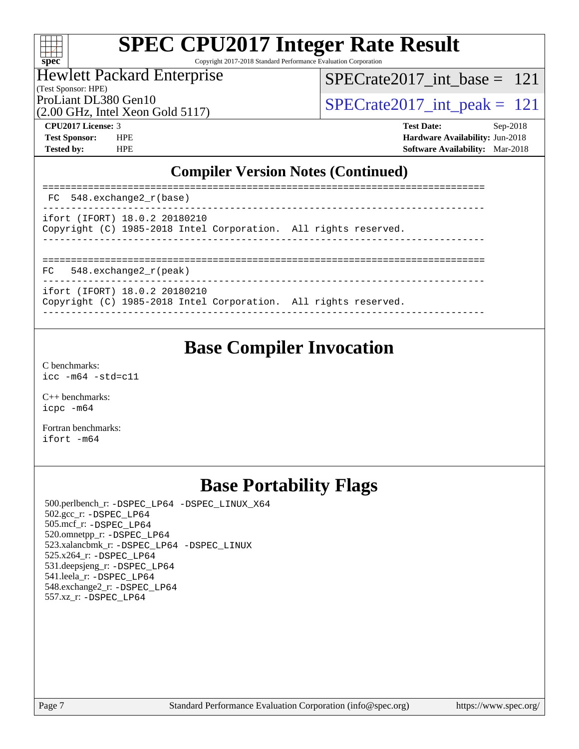

Copyright 2017-2018 Standard Performance Evaluation Corporation

### Hewlett Packard Enterprise

(Test Sponsor: HPE)

[SPECrate2017\\_int\\_base =](http://www.spec.org/auto/cpu2017/Docs/result-fields.html#SPECrate2017intbase) 121

(2.00 GHz, Intel Xeon Gold 5117)

ProLiant DL380 Gen10<br>(2.00 GHz, Intel Xeon Gold 5117)  $\text{SPECrate2017\_int\_peak} = 121$ 

**[CPU2017 License:](http://www.spec.org/auto/cpu2017/Docs/result-fields.html#CPU2017License)** 3 **[Test Date:](http://www.spec.org/auto/cpu2017/Docs/result-fields.html#TestDate)** Sep-2018 **[Test Sponsor:](http://www.spec.org/auto/cpu2017/Docs/result-fields.html#TestSponsor)** HPE **[Hardware Availability:](http://www.spec.org/auto/cpu2017/Docs/result-fields.html#HardwareAvailability)** Jun-2018 **[Tested by:](http://www.spec.org/auto/cpu2017/Docs/result-fields.html#Testedby)** HPE **[Software Availability:](http://www.spec.org/auto/cpu2017/Docs/result-fields.html#SoftwareAvailability)** Mar-2018

## **[Compiler Version Notes \(Continued\)](http://www.spec.org/auto/cpu2017/Docs/result-fields.html#CompilerVersionNotes)**

| FC 548. exchange2 r(base)                                                                        |                              |
|--------------------------------------------------------------------------------------------------|------------------------------|
| ifort (IFORT) 18.0.2 20180210<br>Copyright (C) 1985-2018 Intel Corporation. All rights reserved. |                              |
| 548.exchange2 r(peak)<br>FC                                                                      | ____________________________ |
| ifort (IFORT) 18.0.2 20180210<br>Copyright (C) 1985-2018 Intel Corporation. All rights reserved. |                              |

# **[Base Compiler Invocation](http://www.spec.org/auto/cpu2017/Docs/result-fields.html#BaseCompilerInvocation)**

[C benchmarks](http://www.spec.org/auto/cpu2017/Docs/result-fields.html#Cbenchmarks): [icc -m64 -std=c11](http://www.spec.org/cpu2017/results/res2018q4/cpu2017-20181001-08980.flags.html#user_CCbase_intel_icc_64bit_c11_33ee0cdaae7deeeab2a9725423ba97205ce30f63b9926c2519791662299b76a0318f32ddfffdc46587804de3178b4f9328c46fa7c2b0cd779d7a61945c91cd35)

[C++ benchmarks:](http://www.spec.org/auto/cpu2017/Docs/result-fields.html#CXXbenchmarks) [icpc -m64](http://www.spec.org/cpu2017/results/res2018q4/cpu2017-20181001-08980.flags.html#user_CXXbase_intel_icpc_64bit_4ecb2543ae3f1412ef961e0650ca070fec7b7afdcd6ed48761b84423119d1bf6bdf5cad15b44d48e7256388bc77273b966e5eb805aefd121eb22e9299b2ec9d9)

[Fortran benchmarks](http://www.spec.org/auto/cpu2017/Docs/result-fields.html#Fortranbenchmarks): [ifort -m64](http://www.spec.org/cpu2017/results/res2018q4/cpu2017-20181001-08980.flags.html#user_FCbase_intel_ifort_64bit_24f2bb282fbaeffd6157abe4f878425411749daecae9a33200eee2bee2fe76f3b89351d69a8130dd5949958ce389cf37ff59a95e7a40d588e8d3a57e0c3fd751)

# **[Base Portability Flags](http://www.spec.org/auto/cpu2017/Docs/result-fields.html#BasePortabilityFlags)**

 500.perlbench\_r: [-DSPEC\\_LP64](http://www.spec.org/cpu2017/results/res2018q4/cpu2017-20181001-08980.flags.html#b500.perlbench_r_basePORTABILITY_DSPEC_LP64) [-DSPEC\\_LINUX\\_X64](http://www.spec.org/cpu2017/results/res2018q4/cpu2017-20181001-08980.flags.html#b500.perlbench_r_baseCPORTABILITY_DSPEC_LINUX_X64) 502.gcc\_r: [-DSPEC\\_LP64](http://www.spec.org/cpu2017/results/res2018q4/cpu2017-20181001-08980.flags.html#suite_basePORTABILITY502_gcc_r_DSPEC_LP64) 505.mcf\_r: [-DSPEC\\_LP64](http://www.spec.org/cpu2017/results/res2018q4/cpu2017-20181001-08980.flags.html#suite_basePORTABILITY505_mcf_r_DSPEC_LP64) 520.omnetpp\_r: [-DSPEC\\_LP64](http://www.spec.org/cpu2017/results/res2018q4/cpu2017-20181001-08980.flags.html#suite_basePORTABILITY520_omnetpp_r_DSPEC_LP64) 523.xalancbmk\_r: [-DSPEC\\_LP64](http://www.spec.org/cpu2017/results/res2018q4/cpu2017-20181001-08980.flags.html#suite_basePORTABILITY523_xalancbmk_r_DSPEC_LP64) [-DSPEC\\_LINUX](http://www.spec.org/cpu2017/results/res2018q4/cpu2017-20181001-08980.flags.html#b523.xalancbmk_r_baseCXXPORTABILITY_DSPEC_LINUX) 525.x264\_r: [-DSPEC\\_LP64](http://www.spec.org/cpu2017/results/res2018q4/cpu2017-20181001-08980.flags.html#suite_basePORTABILITY525_x264_r_DSPEC_LP64) 531.deepsjeng\_r: [-DSPEC\\_LP64](http://www.spec.org/cpu2017/results/res2018q4/cpu2017-20181001-08980.flags.html#suite_basePORTABILITY531_deepsjeng_r_DSPEC_LP64) 541.leela\_r: [-DSPEC\\_LP64](http://www.spec.org/cpu2017/results/res2018q4/cpu2017-20181001-08980.flags.html#suite_basePORTABILITY541_leela_r_DSPEC_LP64) 548.exchange2\_r: [-DSPEC\\_LP64](http://www.spec.org/cpu2017/results/res2018q4/cpu2017-20181001-08980.flags.html#suite_basePORTABILITY548_exchange2_r_DSPEC_LP64) 557.xz\_r: [-DSPEC\\_LP64](http://www.spec.org/cpu2017/results/res2018q4/cpu2017-20181001-08980.flags.html#suite_basePORTABILITY557_xz_r_DSPEC_LP64)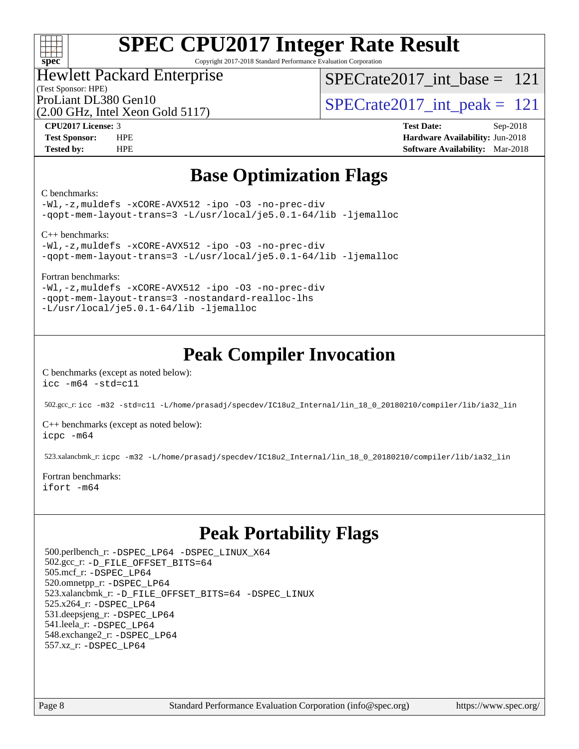

Copyright 2017-2018 Standard Performance Evaluation Corporation

### Hewlett Packard Enterprise

(Test Sponsor: HPE)

[SPECrate2017\\_int\\_base =](http://www.spec.org/auto/cpu2017/Docs/result-fields.html#SPECrate2017intbase) 121

(2.00 GHz, Intel Xeon Gold 5117)

ProLiant DL380 Gen10<br>  $\text{SPECrate2017\_int\_peak} = 121$ 

**[CPU2017 License:](http://www.spec.org/auto/cpu2017/Docs/result-fields.html#CPU2017License)** 3 **[Test Date:](http://www.spec.org/auto/cpu2017/Docs/result-fields.html#TestDate)** Sep-2018 **[Test Sponsor:](http://www.spec.org/auto/cpu2017/Docs/result-fields.html#TestSponsor)** HPE **[Hardware Availability:](http://www.spec.org/auto/cpu2017/Docs/result-fields.html#HardwareAvailability)** Jun-2018 **[Tested by:](http://www.spec.org/auto/cpu2017/Docs/result-fields.html#Testedby)** HPE **[Software Availability:](http://www.spec.org/auto/cpu2017/Docs/result-fields.html#SoftwareAvailability)** Mar-2018

# **[Base Optimization Flags](http://www.spec.org/auto/cpu2017/Docs/result-fields.html#BaseOptimizationFlags)**

[C benchmarks](http://www.spec.org/auto/cpu2017/Docs/result-fields.html#Cbenchmarks):

[-Wl,-z,muldefs](http://www.spec.org/cpu2017/results/res2018q4/cpu2017-20181001-08980.flags.html#user_CCbase_link_force_multiple1_b4cbdb97b34bdee9ceefcfe54f4c8ea74255f0b02a4b23e853cdb0e18eb4525ac79b5a88067c842dd0ee6996c24547a27a4b99331201badda8798ef8a743f577) [-xCORE-AVX512](http://www.spec.org/cpu2017/results/res2018q4/cpu2017-20181001-08980.flags.html#user_CCbase_f-xCORE-AVX512) [-ipo](http://www.spec.org/cpu2017/results/res2018q4/cpu2017-20181001-08980.flags.html#user_CCbase_f-ipo) [-O3](http://www.spec.org/cpu2017/results/res2018q4/cpu2017-20181001-08980.flags.html#user_CCbase_f-O3) [-no-prec-div](http://www.spec.org/cpu2017/results/res2018q4/cpu2017-20181001-08980.flags.html#user_CCbase_f-no-prec-div) [-qopt-mem-layout-trans=3](http://www.spec.org/cpu2017/results/res2018q4/cpu2017-20181001-08980.flags.html#user_CCbase_f-qopt-mem-layout-trans_de80db37974c74b1f0e20d883f0b675c88c3b01e9d123adea9b28688d64333345fb62bc4a798493513fdb68f60282f9a726aa07f478b2f7113531aecce732043) [-L/usr/local/je5.0.1-64/lib](http://www.spec.org/cpu2017/results/res2018q4/cpu2017-20181001-08980.flags.html#user_CCbase_jemalloc_link_path64_4b10a636b7bce113509b17f3bd0d6226c5fb2346b9178c2d0232c14f04ab830f976640479e5c33dc2bcbbdad86ecfb6634cbbd4418746f06f368b512fced5394) [-ljemalloc](http://www.spec.org/cpu2017/results/res2018q4/cpu2017-20181001-08980.flags.html#user_CCbase_jemalloc_link_lib_d1249b907c500fa1c0672f44f562e3d0f79738ae9e3c4a9c376d49f265a04b9c99b167ecedbf6711b3085be911c67ff61f150a17b3472be731631ba4d0471706)

[C++ benchmarks:](http://www.spec.org/auto/cpu2017/Docs/result-fields.html#CXXbenchmarks)

[-Wl,-z,muldefs](http://www.spec.org/cpu2017/results/res2018q4/cpu2017-20181001-08980.flags.html#user_CXXbase_link_force_multiple1_b4cbdb97b34bdee9ceefcfe54f4c8ea74255f0b02a4b23e853cdb0e18eb4525ac79b5a88067c842dd0ee6996c24547a27a4b99331201badda8798ef8a743f577) [-xCORE-AVX512](http://www.spec.org/cpu2017/results/res2018q4/cpu2017-20181001-08980.flags.html#user_CXXbase_f-xCORE-AVX512) [-ipo](http://www.spec.org/cpu2017/results/res2018q4/cpu2017-20181001-08980.flags.html#user_CXXbase_f-ipo) [-O3](http://www.spec.org/cpu2017/results/res2018q4/cpu2017-20181001-08980.flags.html#user_CXXbase_f-O3) [-no-prec-div](http://www.spec.org/cpu2017/results/res2018q4/cpu2017-20181001-08980.flags.html#user_CXXbase_f-no-prec-div) [-qopt-mem-layout-trans=3](http://www.spec.org/cpu2017/results/res2018q4/cpu2017-20181001-08980.flags.html#user_CXXbase_f-qopt-mem-layout-trans_de80db37974c74b1f0e20d883f0b675c88c3b01e9d123adea9b28688d64333345fb62bc4a798493513fdb68f60282f9a726aa07f478b2f7113531aecce732043) [-L/usr/local/je5.0.1-64/lib](http://www.spec.org/cpu2017/results/res2018q4/cpu2017-20181001-08980.flags.html#user_CXXbase_jemalloc_link_path64_4b10a636b7bce113509b17f3bd0d6226c5fb2346b9178c2d0232c14f04ab830f976640479e5c33dc2bcbbdad86ecfb6634cbbd4418746f06f368b512fced5394) [-ljemalloc](http://www.spec.org/cpu2017/results/res2018q4/cpu2017-20181001-08980.flags.html#user_CXXbase_jemalloc_link_lib_d1249b907c500fa1c0672f44f562e3d0f79738ae9e3c4a9c376d49f265a04b9c99b167ecedbf6711b3085be911c67ff61f150a17b3472be731631ba4d0471706)

[Fortran benchmarks](http://www.spec.org/auto/cpu2017/Docs/result-fields.html#Fortranbenchmarks):

[-Wl,-z,muldefs](http://www.spec.org/cpu2017/results/res2018q4/cpu2017-20181001-08980.flags.html#user_FCbase_link_force_multiple1_b4cbdb97b34bdee9ceefcfe54f4c8ea74255f0b02a4b23e853cdb0e18eb4525ac79b5a88067c842dd0ee6996c24547a27a4b99331201badda8798ef8a743f577) [-xCORE-AVX512](http://www.spec.org/cpu2017/results/res2018q4/cpu2017-20181001-08980.flags.html#user_FCbase_f-xCORE-AVX512) [-ipo](http://www.spec.org/cpu2017/results/res2018q4/cpu2017-20181001-08980.flags.html#user_FCbase_f-ipo) [-O3](http://www.spec.org/cpu2017/results/res2018q4/cpu2017-20181001-08980.flags.html#user_FCbase_f-O3) [-no-prec-div](http://www.spec.org/cpu2017/results/res2018q4/cpu2017-20181001-08980.flags.html#user_FCbase_f-no-prec-div) [-qopt-mem-layout-trans=3](http://www.spec.org/cpu2017/results/res2018q4/cpu2017-20181001-08980.flags.html#user_FCbase_f-qopt-mem-layout-trans_de80db37974c74b1f0e20d883f0b675c88c3b01e9d123adea9b28688d64333345fb62bc4a798493513fdb68f60282f9a726aa07f478b2f7113531aecce732043) [-nostandard-realloc-lhs](http://www.spec.org/cpu2017/results/res2018q4/cpu2017-20181001-08980.flags.html#user_FCbase_f_2003_std_realloc_82b4557e90729c0f113870c07e44d33d6f5a304b4f63d4c15d2d0f1fab99f5daaed73bdb9275d9ae411527f28b936061aa8b9c8f2d63842963b95c9dd6426b8a) [-L/usr/local/je5.0.1-64/lib](http://www.spec.org/cpu2017/results/res2018q4/cpu2017-20181001-08980.flags.html#user_FCbase_jemalloc_link_path64_4b10a636b7bce113509b17f3bd0d6226c5fb2346b9178c2d0232c14f04ab830f976640479e5c33dc2bcbbdad86ecfb6634cbbd4418746f06f368b512fced5394) [-ljemalloc](http://www.spec.org/cpu2017/results/res2018q4/cpu2017-20181001-08980.flags.html#user_FCbase_jemalloc_link_lib_d1249b907c500fa1c0672f44f562e3d0f79738ae9e3c4a9c376d49f265a04b9c99b167ecedbf6711b3085be911c67ff61f150a17b3472be731631ba4d0471706)

# **[Peak Compiler Invocation](http://www.spec.org/auto/cpu2017/Docs/result-fields.html#PeakCompilerInvocation)**

[C benchmarks \(except as noted below\)](http://www.spec.org/auto/cpu2017/Docs/result-fields.html#Cbenchmarksexceptasnotedbelow): [icc -m64 -std=c11](http://www.spec.org/cpu2017/results/res2018q4/cpu2017-20181001-08980.flags.html#user_CCpeak_intel_icc_64bit_c11_33ee0cdaae7deeeab2a9725423ba97205ce30f63b9926c2519791662299b76a0318f32ddfffdc46587804de3178b4f9328c46fa7c2b0cd779d7a61945c91cd35)

502.gcc\_r: [icc -m32 -std=c11 -L/home/prasadj/specdev/IC18u2\\_Internal/lin\\_18\\_0\\_20180210/compiler/lib/ia32\\_lin](http://www.spec.org/cpu2017/results/res2018q4/cpu2017-20181001-08980.flags.html#user_peakCCLD502_gcc_r_intel_icc_a481ac844e7127046fad14d498c730a1848fa901fbbb2c3dfdd5e9fbbac777c8009953946d55d8b6afe8ed0da70dd2b4f8dedbdf7ab1ee211ba70d24a5d89f85)

[C++ benchmarks \(except as noted below\):](http://www.spec.org/auto/cpu2017/Docs/result-fields.html#CXXbenchmarksexceptasnotedbelow) [icpc -m64](http://www.spec.org/cpu2017/results/res2018q4/cpu2017-20181001-08980.flags.html#user_CXXpeak_intel_icpc_64bit_4ecb2543ae3f1412ef961e0650ca070fec7b7afdcd6ed48761b84423119d1bf6bdf5cad15b44d48e7256388bc77273b966e5eb805aefd121eb22e9299b2ec9d9)

523.xalancbmk\_r: [icpc -m32 -L/home/prasadj/specdev/IC18u2\\_Internal/lin\\_18\\_0\\_20180210/compiler/lib/ia32\\_lin](http://www.spec.org/cpu2017/results/res2018q4/cpu2017-20181001-08980.flags.html#user_peakCXXLD523_xalancbmk_r_intel_icpc_c6d030cd79af6ea7d6fb64c57e8fe7ae8fe0b96fc5a3b3f4a10e3273b3d7fa9decd8263f6330cef23f751cb093a69fae84a2bf4c243500a8eed069248128076f)

[Fortran benchmarks](http://www.spec.org/auto/cpu2017/Docs/result-fields.html#Fortranbenchmarks): [ifort -m64](http://www.spec.org/cpu2017/results/res2018q4/cpu2017-20181001-08980.flags.html#user_FCpeak_intel_ifort_64bit_24f2bb282fbaeffd6157abe4f878425411749daecae9a33200eee2bee2fe76f3b89351d69a8130dd5949958ce389cf37ff59a95e7a40d588e8d3a57e0c3fd751)

# **[Peak Portability Flags](http://www.spec.org/auto/cpu2017/Docs/result-fields.html#PeakPortabilityFlags)**

 500.perlbench\_r: [-DSPEC\\_LP64](http://www.spec.org/cpu2017/results/res2018q4/cpu2017-20181001-08980.flags.html#b500.perlbench_r_peakPORTABILITY_DSPEC_LP64) [-DSPEC\\_LINUX\\_X64](http://www.spec.org/cpu2017/results/res2018q4/cpu2017-20181001-08980.flags.html#b500.perlbench_r_peakCPORTABILITY_DSPEC_LINUX_X64) 502.gcc\_r: [-D\\_FILE\\_OFFSET\\_BITS=64](http://www.spec.org/cpu2017/results/res2018q4/cpu2017-20181001-08980.flags.html#user_peakPORTABILITY502_gcc_r_file_offset_bits_64_5ae949a99b284ddf4e95728d47cb0843d81b2eb0e18bdfe74bbf0f61d0b064f4bda2f10ea5eb90e1dcab0e84dbc592acfc5018bc955c18609f94ddb8d550002c) 505.mcf\_r: [-DSPEC\\_LP64](http://www.spec.org/cpu2017/results/res2018q4/cpu2017-20181001-08980.flags.html#suite_peakPORTABILITY505_mcf_r_DSPEC_LP64) 520.omnetpp\_r: [-DSPEC\\_LP64](http://www.spec.org/cpu2017/results/res2018q4/cpu2017-20181001-08980.flags.html#suite_peakPORTABILITY520_omnetpp_r_DSPEC_LP64) 523.xalancbmk\_r: [-D\\_FILE\\_OFFSET\\_BITS=64](http://www.spec.org/cpu2017/results/res2018q4/cpu2017-20181001-08980.flags.html#user_peakPORTABILITY523_xalancbmk_r_file_offset_bits_64_5ae949a99b284ddf4e95728d47cb0843d81b2eb0e18bdfe74bbf0f61d0b064f4bda2f10ea5eb90e1dcab0e84dbc592acfc5018bc955c18609f94ddb8d550002c) [-DSPEC\\_LINUX](http://www.spec.org/cpu2017/results/res2018q4/cpu2017-20181001-08980.flags.html#b523.xalancbmk_r_peakCXXPORTABILITY_DSPEC_LINUX) 525.x264\_r: [-DSPEC\\_LP64](http://www.spec.org/cpu2017/results/res2018q4/cpu2017-20181001-08980.flags.html#suite_peakPORTABILITY525_x264_r_DSPEC_LP64) 531.deepsjeng\_r: [-DSPEC\\_LP64](http://www.spec.org/cpu2017/results/res2018q4/cpu2017-20181001-08980.flags.html#suite_peakPORTABILITY531_deepsjeng_r_DSPEC_LP64) 541.leela\_r: [-DSPEC\\_LP64](http://www.spec.org/cpu2017/results/res2018q4/cpu2017-20181001-08980.flags.html#suite_peakPORTABILITY541_leela_r_DSPEC_LP64) 548.exchange2\_r: [-DSPEC\\_LP64](http://www.spec.org/cpu2017/results/res2018q4/cpu2017-20181001-08980.flags.html#suite_peakPORTABILITY548_exchange2_r_DSPEC_LP64) 557.xz\_r: [-DSPEC\\_LP64](http://www.spec.org/cpu2017/results/res2018q4/cpu2017-20181001-08980.flags.html#suite_peakPORTABILITY557_xz_r_DSPEC_LP64)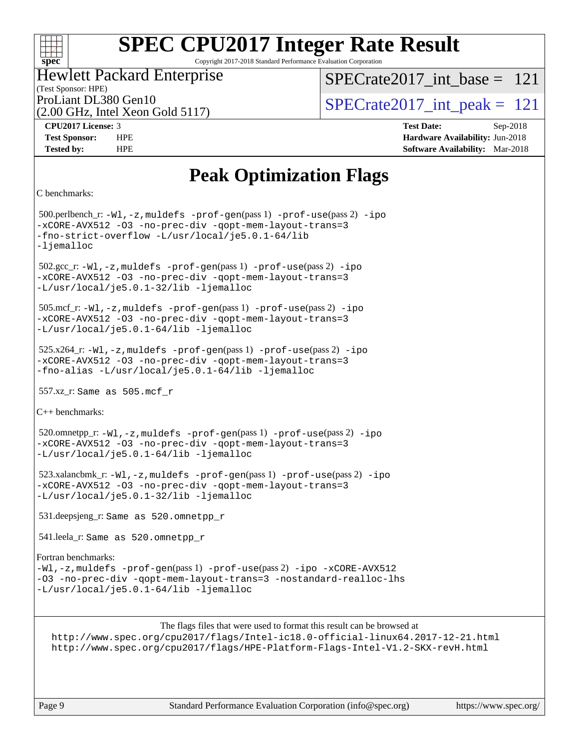## $+\ +$ **[spec](http://www.spec.org/)**

# **[SPEC CPU2017 Integer Rate Result](http://www.spec.org/auto/cpu2017/Docs/result-fields.html#SPECCPU2017IntegerRateResult)**

Copyright 2017-2018 Standard Performance Evaluation Corporation

# Hewlett Packard Enterprise

(Test Sponsor: HPE)

[SPECrate2017\\_int\\_base =](http://www.spec.org/auto/cpu2017/Docs/result-fields.html#SPECrate2017intbase) 121

(2.00 GHz, Intel Xeon Gold 5117)

ProLiant DL380 Gen10  $SPECTATE$   $SPECTATE$   $SCHZ$  Intel Year Gold 5117)

**[CPU2017 License:](http://www.spec.org/auto/cpu2017/Docs/result-fields.html#CPU2017License)** 3 **[Test Date:](http://www.spec.org/auto/cpu2017/Docs/result-fields.html#TestDate)** Sep-2018 **[Test Sponsor:](http://www.spec.org/auto/cpu2017/Docs/result-fields.html#TestSponsor)** HPE **[Hardware Availability:](http://www.spec.org/auto/cpu2017/Docs/result-fields.html#HardwareAvailability)** Jun-2018 **[Tested by:](http://www.spec.org/auto/cpu2017/Docs/result-fields.html#Testedby)** HPE **[Software Availability:](http://www.spec.org/auto/cpu2017/Docs/result-fields.html#SoftwareAvailability)** Mar-2018

# **[Peak Optimization Flags](http://www.spec.org/auto/cpu2017/Docs/result-fields.html#PeakOptimizationFlags)**

```
C benchmarks:
```
 500.perlbench\_r: [-Wl,-z,muldefs](http://www.spec.org/cpu2017/results/res2018q4/cpu2017-20181001-08980.flags.html#user_peakEXTRA_LDFLAGS500_perlbench_r_link_force_multiple1_b4cbdb97b34bdee9ceefcfe54f4c8ea74255f0b02a4b23e853cdb0e18eb4525ac79b5a88067c842dd0ee6996c24547a27a4b99331201badda8798ef8a743f577) [-prof-gen](http://www.spec.org/cpu2017/results/res2018q4/cpu2017-20181001-08980.flags.html#user_peakPASS1_CFLAGSPASS1_LDFLAGS500_perlbench_r_prof_gen_5aa4926d6013ddb2a31985c654b3eb18169fc0c6952a63635c234f711e6e63dd76e94ad52365559451ec499a2cdb89e4dc58ba4c67ef54ca681ffbe1461d6b36)(pass 1) [-prof-use](http://www.spec.org/cpu2017/results/res2018q4/cpu2017-20181001-08980.flags.html#user_peakPASS2_CFLAGSPASS2_LDFLAGS500_perlbench_r_prof_use_1a21ceae95f36a2b53c25747139a6c16ca95bd9def2a207b4f0849963b97e94f5260e30a0c64f4bb623698870e679ca08317ef8150905d41bd88c6f78df73f19)(pass 2) [-ipo](http://www.spec.org/cpu2017/results/res2018q4/cpu2017-20181001-08980.flags.html#user_peakPASS1_COPTIMIZEPASS2_COPTIMIZE500_perlbench_r_f-ipo) [-xCORE-AVX512](http://www.spec.org/cpu2017/results/res2018q4/cpu2017-20181001-08980.flags.html#user_peakPASS2_COPTIMIZE500_perlbench_r_f-xCORE-AVX512) [-O3](http://www.spec.org/cpu2017/results/res2018q4/cpu2017-20181001-08980.flags.html#user_peakPASS1_COPTIMIZEPASS2_COPTIMIZE500_perlbench_r_f-O3) [-no-prec-div](http://www.spec.org/cpu2017/results/res2018q4/cpu2017-20181001-08980.flags.html#user_peakPASS1_COPTIMIZEPASS2_COPTIMIZE500_perlbench_r_f-no-prec-div) [-qopt-mem-layout-trans=3](http://www.spec.org/cpu2017/results/res2018q4/cpu2017-20181001-08980.flags.html#user_peakPASS1_COPTIMIZEPASS2_COPTIMIZE500_perlbench_r_f-qopt-mem-layout-trans_de80db37974c74b1f0e20d883f0b675c88c3b01e9d123adea9b28688d64333345fb62bc4a798493513fdb68f60282f9a726aa07f478b2f7113531aecce732043) [-fno-strict-overflow](http://www.spec.org/cpu2017/results/res2018q4/cpu2017-20181001-08980.flags.html#user_peakEXTRA_OPTIMIZE500_perlbench_r_f-fno-strict-overflow) [-L/usr/local/je5.0.1-64/lib](http://www.spec.org/cpu2017/results/res2018q4/cpu2017-20181001-08980.flags.html#user_peakEXTRA_LIBS500_perlbench_r_jemalloc_link_path64_4b10a636b7bce113509b17f3bd0d6226c5fb2346b9178c2d0232c14f04ab830f976640479e5c33dc2bcbbdad86ecfb6634cbbd4418746f06f368b512fced5394) [-ljemalloc](http://www.spec.org/cpu2017/results/res2018q4/cpu2017-20181001-08980.flags.html#user_peakEXTRA_LIBS500_perlbench_r_jemalloc_link_lib_d1249b907c500fa1c0672f44f562e3d0f79738ae9e3c4a9c376d49f265a04b9c99b167ecedbf6711b3085be911c67ff61f150a17b3472be731631ba4d0471706) 502.gcc\_r: [-Wl,-z,muldefs](http://www.spec.org/cpu2017/results/res2018q4/cpu2017-20181001-08980.flags.html#user_peakEXTRA_LDFLAGS502_gcc_r_link_force_multiple1_b4cbdb97b34bdee9ceefcfe54f4c8ea74255f0b02a4b23e853cdb0e18eb4525ac79b5a88067c842dd0ee6996c24547a27a4b99331201badda8798ef8a743f577) [-prof-gen](http://www.spec.org/cpu2017/results/res2018q4/cpu2017-20181001-08980.flags.html#user_peakPASS1_CFLAGSPASS1_LDFLAGS502_gcc_r_prof_gen_5aa4926d6013ddb2a31985c654b3eb18169fc0c6952a63635c234f711e6e63dd76e94ad52365559451ec499a2cdb89e4dc58ba4c67ef54ca681ffbe1461d6b36)(pass 1) [-prof-use](http://www.spec.org/cpu2017/results/res2018q4/cpu2017-20181001-08980.flags.html#user_peakPASS2_CFLAGSPASS2_LDFLAGS502_gcc_r_prof_use_1a21ceae95f36a2b53c25747139a6c16ca95bd9def2a207b4f0849963b97e94f5260e30a0c64f4bb623698870e679ca08317ef8150905d41bd88c6f78df73f19)(pass 2) [-ipo](http://www.spec.org/cpu2017/results/res2018q4/cpu2017-20181001-08980.flags.html#user_peakPASS1_COPTIMIZEPASS2_COPTIMIZE502_gcc_r_f-ipo) [-xCORE-AVX512](http://www.spec.org/cpu2017/results/res2018q4/cpu2017-20181001-08980.flags.html#user_peakPASS2_COPTIMIZE502_gcc_r_f-xCORE-AVX512) [-O3](http://www.spec.org/cpu2017/results/res2018q4/cpu2017-20181001-08980.flags.html#user_peakPASS1_COPTIMIZEPASS2_COPTIMIZE502_gcc_r_f-O3) [-no-prec-div](http://www.spec.org/cpu2017/results/res2018q4/cpu2017-20181001-08980.flags.html#user_peakPASS1_COPTIMIZEPASS2_COPTIMIZE502_gcc_r_f-no-prec-div) [-qopt-mem-layout-trans=3](http://www.spec.org/cpu2017/results/res2018q4/cpu2017-20181001-08980.flags.html#user_peakPASS1_COPTIMIZEPASS2_COPTIMIZE502_gcc_r_f-qopt-mem-layout-trans_de80db37974c74b1f0e20d883f0b675c88c3b01e9d123adea9b28688d64333345fb62bc4a798493513fdb68f60282f9a726aa07f478b2f7113531aecce732043) [-L/usr/local/je5.0.1-32/lib](http://www.spec.org/cpu2017/results/res2018q4/cpu2017-20181001-08980.flags.html#user_peakEXTRA_LIBS502_gcc_r_jemalloc_link_path32_e29f22e8e6c17053bbc6a0971f5a9c01a601a06bb1a59df2084b77a2fe0a2995b64fd4256feaeea39eeba3aae142e96e2b2b0a28974019c0c0c88139a84f900a) [-ljemalloc](http://www.spec.org/cpu2017/results/res2018q4/cpu2017-20181001-08980.flags.html#user_peakEXTRA_LIBS502_gcc_r_jemalloc_link_lib_d1249b907c500fa1c0672f44f562e3d0f79738ae9e3c4a9c376d49f265a04b9c99b167ecedbf6711b3085be911c67ff61f150a17b3472be731631ba4d0471706) 505.mcf\_r: [-Wl,-z,muldefs](http://www.spec.org/cpu2017/results/res2018q4/cpu2017-20181001-08980.flags.html#user_peakEXTRA_LDFLAGS505_mcf_r_link_force_multiple1_b4cbdb97b34bdee9ceefcfe54f4c8ea74255f0b02a4b23e853cdb0e18eb4525ac79b5a88067c842dd0ee6996c24547a27a4b99331201badda8798ef8a743f577) [-prof-gen](http://www.spec.org/cpu2017/results/res2018q4/cpu2017-20181001-08980.flags.html#user_peakPASS1_CFLAGSPASS1_LDFLAGS505_mcf_r_prof_gen_5aa4926d6013ddb2a31985c654b3eb18169fc0c6952a63635c234f711e6e63dd76e94ad52365559451ec499a2cdb89e4dc58ba4c67ef54ca681ffbe1461d6b36)(pass 1) [-prof-use](http://www.spec.org/cpu2017/results/res2018q4/cpu2017-20181001-08980.flags.html#user_peakPASS2_CFLAGSPASS2_LDFLAGS505_mcf_r_prof_use_1a21ceae95f36a2b53c25747139a6c16ca95bd9def2a207b4f0849963b97e94f5260e30a0c64f4bb623698870e679ca08317ef8150905d41bd88c6f78df73f19)(pass 2) [-ipo](http://www.spec.org/cpu2017/results/res2018q4/cpu2017-20181001-08980.flags.html#user_peakPASS1_COPTIMIZEPASS2_COPTIMIZE505_mcf_r_f-ipo) [-xCORE-AVX512](http://www.spec.org/cpu2017/results/res2018q4/cpu2017-20181001-08980.flags.html#user_peakPASS2_COPTIMIZE505_mcf_r_f-xCORE-AVX512) [-O3](http://www.spec.org/cpu2017/results/res2018q4/cpu2017-20181001-08980.flags.html#user_peakPASS1_COPTIMIZEPASS2_COPTIMIZE505_mcf_r_f-O3) [-no-prec-div](http://www.spec.org/cpu2017/results/res2018q4/cpu2017-20181001-08980.flags.html#user_peakPASS1_COPTIMIZEPASS2_COPTIMIZE505_mcf_r_f-no-prec-div) [-qopt-mem-layout-trans=3](http://www.spec.org/cpu2017/results/res2018q4/cpu2017-20181001-08980.flags.html#user_peakPASS1_COPTIMIZEPASS2_COPTIMIZE505_mcf_r_f-qopt-mem-layout-trans_de80db37974c74b1f0e20d883f0b675c88c3b01e9d123adea9b28688d64333345fb62bc4a798493513fdb68f60282f9a726aa07f478b2f7113531aecce732043) [-L/usr/local/je5.0.1-64/lib](http://www.spec.org/cpu2017/results/res2018q4/cpu2017-20181001-08980.flags.html#user_peakEXTRA_LIBS505_mcf_r_jemalloc_link_path64_4b10a636b7bce113509b17f3bd0d6226c5fb2346b9178c2d0232c14f04ab830f976640479e5c33dc2bcbbdad86ecfb6634cbbd4418746f06f368b512fced5394) [-ljemalloc](http://www.spec.org/cpu2017/results/res2018q4/cpu2017-20181001-08980.flags.html#user_peakEXTRA_LIBS505_mcf_r_jemalloc_link_lib_d1249b907c500fa1c0672f44f562e3d0f79738ae9e3c4a9c376d49f265a04b9c99b167ecedbf6711b3085be911c67ff61f150a17b3472be731631ba4d0471706) 525.x264\_r: [-Wl,-z,muldefs](http://www.spec.org/cpu2017/results/res2018q4/cpu2017-20181001-08980.flags.html#user_peakEXTRA_LDFLAGS525_x264_r_link_force_multiple1_b4cbdb97b34bdee9ceefcfe54f4c8ea74255f0b02a4b23e853cdb0e18eb4525ac79b5a88067c842dd0ee6996c24547a27a4b99331201badda8798ef8a743f577) [-prof-gen](http://www.spec.org/cpu2017/results/res2018q4/cpu2017-20181001-08980.flags.html#user_peakPASS1_CFLAGSPASS1_LDFLAGS525_x264_r_prof_gen_5aa4926d6013ddb2a31985c654b3eb18169fc0c6952a63635c234f711e6e63dd76e94ad52365559451ec499a2cdb89e4dc58ba4c67ef54ca681ffbe1461d6b36)(pass 1) [-prof-use](http://www.spec.org/cpu2017/results/res2018q4/cpu2017-20181001-08980.flags.html#user_peakPASS2_CFLAGSPASS2_LDFLAGS525_x264_r_prof_use_1a21ceae95f36a2b53c25747139a6c16ca95bd9def2a207b4f0849963b97e94f5260e30a0c64f4bb623698870e679ca08317ef8150905d41bd88c6f78df73f19)(pass 2) [-ipo](http://www.spec.org/cpu2017/results/res2018q4/cpu2017-20181001-08980.flags.html#user_peakPASS1_COPTIMIZEPASS2_COPTIMIZE525_x264_r_f-ipo) [-xCORE-AVX512](http://www.spec.org/cpu2017/results/res2018q4/cpu2017-20181001-08980.flags.html#user_peakPASS2_COPTIMIZE525_x264_r_f-xCORE-AVX512) [-O3](http://www.spec.org/cpu2017/results/res2018q4/cpu2017-20181001-08980.flags.html#user_peakPASS1_COPTIMIZEPASS2_COPTIMIZE525_x264_r_f-O3) [-no-prec-div](http://www.spec.org/cpu2017/results/res2018q4/cpu2017-20181001-08980.flags.html#user_peakPASS1_COPTIMIZEPASS2_COPTIMIZE525_x264_r_f-no-prec-div) [-qopt-mem-layout-trans=3](http://www.spec.org/cpu2017/results/res2018q4/cpu2017-20181001-08980.flags.html#user_peakPASS1_COPTIMIZEPASS2_COPTIMIZE525_x264_r_f-qopt-mem-layout-trans_de80db37974c74b1f0e20d883f0b675c88c3b01e9d123adea9b28688d64333345fb62bc4a798493513fdb68f60282f9a726aa07f478b2f7113531aecce732043) [-fno-alias](http://www.spec.org/cpu2017/results/res2018q4/cpu2017-20181001-08980.flags.html#user_peakEXTRA_OPTIMIZE525_x264_r_f-no-alias_77dbac10d91cbfe898fbf4a29d1b29b694089caa623bdd1baccc9957d4edbe8d106c0b357e2748a65b44fc9e83d78098bb898077f3fe92f9faf24f7bd4a07ed7) [-L/usr/local/je5.0.1-64/lib](http://www.spec.org/cpu2017/results/res2018q4/cpu2017-20181001-08980.flags.html#user_peakEXTRA_LIBS525_x264_r_jemalloc_link_path64_4b10a636b7bce113509b17f3bd0d6226c5fb2346b9178c2d0232c14f04ab830f976640479e5c33dc2bcbbdad86ecfb6634cbbd4418746f06f368b512fced5394) [-ljemalloc](http://www.spec.org/cpu2017/results/res2018q4/cpu2017-20181001-08980.flags.html#user_peakEXTRA_LIBS525_x264_r_jemalloc_link_lib_d1249b907c500fa1c0672f44f562e3d0f79738ae9e3c4a9c376d49f265a04b9c99b167ecedbf6711b3085be911c67ff61f150a17b3472be731631ba4d0471706) 557.xz\_r: Same as 505.mcf\_r [C++ benchmarks](http://www.spec.org/auto/cpu2017/Docs/result-fields.html#CXXbenchmarks): 520.omnetpp\_r: [-Wl,-z,muldefs](http://www.spec.org/cpu2017/results/res2018q4/cpu2017-20181001-08980.flags.html#user_peakEXTRA_LDFLAGS520_omnetpp_r_link_force_multiple1_b4cbdb97b34bdee9ceefcfe54f4c8ea74255f0b02a4b23e853cdb0e18eb4525ac79b5a88067c842dd0ee6996c24547a27a4b99331201badda8798ef8a743f577) [-prof-gen](http://www.spec.org/cpu2017/results/res2018q4/cpu2017-20181001-08980.flags.html#user_peakPASS1_CXXFLAGSPASS1_LDFLAGS520_omnetpp_r_prof_gen_5aa4926d6013ddb2a31985c654b3eb18169fc0c6952a63635c234f711e6e63dd76e94ad52365559451ec499a2cdb89e4dc58ba4c67ef54ca681ffbe1461d6b36)(pass 1) [-prof-use](http://www.spec.org/cpu2017/results/res2018q4/cpu2017-20181001-08980.flags.html#user_peakPASS2_CXXFLAGSPASS2_LDFLAGS520_omnetpp_r_prof_use_1a21ceae95f36a2b53c25747139a6c16ca95bd9def2a207b4f0849963b97e94f5260e30a0c64f4bb623698870e679ca08317ef8150905d41bd88c6f78df73f19)(pass 2) [-ipo](http://www.spec.org/cpu2017/results/res2018q4/cpu2017-20181001-08980.flags.html#user_peakPASS1_CXXOPTIMIZEPASS2_CXXOPTIMIZE520_omnetpp_r_f-ipo) [-xCORE-AVX512](http://www.spec.org/cpu2017/results/res2018q4/cpu2017-20181001-08980.flags.html#user_peakPASS2_CXXOPTIMIZE520_omnetpp_r_f-xCORE-AVX512) [-O3](http://www.spec.org/cpu2017/results/res2018q4/cpu2017-20181001-08980.flags.html#user_peakPASS1_CXXOPTIMIZEPASS2_CXXOPTIMIZE520_omnetpp_r_f-O3) [-no-prec-div](http://www.spec.org/cpu2017/results/res2018q4/cpu2017-20181001-08980.flags.html#user_peakPASS1_CXXOPTIMIZEPASS2_CXXOPTIMIZE520_omnetpp_r_f-no-prec-div) [-qopt-mem-layout-trans=3](http://www.spec.org/cpu2017/results/res2018q4/cpu2017-20181001-08980.flags.html#user_peakPASS1_CXXOPTIMIZEPASS2_CXXOPTIMIZE520_omnetpp_r_f-qopt-mem-layout-trans_de80db37974c74b1f0e20d883f0b675c88c3b01e9d123adea9b28688d64333345fb62bc4a798493513fdb68f60282f9a726aa07f478b2f7113531aecce732043) [-L/usr/local/je5.0.1-64/lib](http://www.spec.org/cpu2017/results/res2018q4/cpu2017-20181001-08980.flags.html#user_peakEXTRA_LIBS520_omnetpp_r_jemalloc_link_path64_4b10a636b7bce113509b17f3bd0d6226c5fb2346b9178c2d0232c14f04ab830f976640479e5c33dc2bcbbdad86ecfb6634cbbd4418746f06f368b512fced5394) [-ljemalloc](http://www.spec.org/cpu2017/results/res2018q4/cpu2017-20181001-08980.flags.html#user_peakEXTRA_LIBS520_omnetpp_r_jemalloc_link_lib_d1249b907c500fa1c0672f44f562e3d0f79738ae9e3c4a9c376d49f265a04b9c99b167ecedbf6711b3085be911c67ff61f150a17b3472be731631ba4d0471706) 523.xalancbmk\_r: [-Wl,-z,muldefs](http://www.spec.org/cpu2017/results/res2018q4/cpu2017-20181001-08980.flags.html#user_peakEXTRA_LDFLAGS523_xalancbmk_r_link_force_multiple1_b4cbdb97b34bdee9ceefcfe54f4c8ea74255f0b02a4b23e853cdb0e18eb4525ac79b5a88067c842dd0ee6996c24547a27a4b99331201badda8798ef8a743f577) [-prof-gen](http://www.spec.org/cpu2017/results/res2018q4/cpu2017-20181001-08980.flags.html#user_peakPASS1_CXXFLAGSPASS1_LDFLAGS523_xalancbmk_r_prof_gen_5aa4926d6013ddb2a31985c654b3eb18169fc0c6952a63635c234f711e6e63dd76e94ad52365559451ec499a2cdb89e4dc58ba4c67ef54ca681ffbe1461d6b36)(pass 1) [-prof-use](http://www.spec.org/cpu2017/results/res2018q4/cpu2017-20181001-08980.flags.html#user_peakPASS2_CXXFLAGSPASS2_LDFLAGS523_xalancbmk_r_prof_use_1a21ceae95f36a2b53c25747139a6c16ca95bd9def2a207b4f0849963b97e94f5260e30a0c64f4bb623698870e679ca08317ef8150905d41bd88c6f78df73f19)(pass 2) [-ipo](http://www.spec.org/cpu2017/results/res2018q4/cpu2017-20181001-08980.flags.html#user_peakPASS1_CXXOPTIMIZEPASS2_CXXOPTIMIZE523_xalancbmk_r_f-ipo) [-xCORE-AVX512](http://www.spec.org/cpu2017/results/res2018q4/cpu2017-20181001-08980.flags.html#user_peakPASS2_CXXOPTIMIZE523_xalancbmk_r_f-xCORE-AVX512) [-O3](http://www.spec.org/cpu2017/results/res2018q4/cpu2017-20181001-08980.flags.html#user_peakPASS1_CXXOPTIMIZEPASS2_CXXOPTIMIZE523_xalancbmk_r_f-O3) [-no-prec-div](http://www.spec.org/cpu2017/results/res2018q4/cpu2017-20181001-08980.flags.html#user_peakPASS1_CXXOPTIMIZEPASS2_CXXOPTIMIZE523_xalancbmk_r_f-no-prec-div) [-qopt-mem-layout-trans=3](http://www.spec.org/cpu2017/results/res2018q4/cpu2017-20181001-08980.flags.html#user_peakPASS1_CXXOPTIMIZEPASS2_CXXOPTIMIZE523_xalancbmk_r_f-qopt-mem-layout-trans_de80db37974c74b1f0e20d883f0b675c88c3b01e9d123adea9b28688d64333345fb62bc4a798493513fdb68f60282f9a726aa07f478b2f7113531aecce732043) [-L/usr/local/je5.0.1-32/lib](http://www.spec.org/cpu2017/results/res2018q4/cpu2017-20181001-08980.flags.html#user_peakEXTRA_LIBS523_xalancbmk_r_jemalloc_link_path32_e29f22e8e6c17053bbc6a0971f5a9c01a601a06bb1a59df2084b77a2fe0a2995b64fd4256feaeea39eeba3aae142e96e2b2b0a28974019c0c0c88139a84f900a) [-ljemalloc](http://www.spec.org/cpu2017/results/res2018q4/cpu2017-20181001-08980.flags.html#user_peakEXTRA_LIBS523_xalancbmk_r_jemalloc_link_lib_d1249b907c500fa1c0672f44f562e3d0f79738ae9e3c4a9c376d49f265a04b9c99b167ecedbf6711b3085be911c67ff61f150a17b3472be731631ba4d0471706) 531.deepsjeng\_r: Same as 520.omnetpp\_r 541.leela\_r: Same as 520.omnetpp\_r [Fortran benchmarks:](http://www.spec.org/auto/cpu2017/Docs/result-fields.html#Fortranbenchmarks) [-Wl,-z,muldefs](http://www.spec.org/cpu2017/results/res2018q4/cpu2017-20181001-08980.flags.html#user_FCpeak_link_force_multiple1_b4cbdb97b34bdee9ceefcfe54f4c8ea74255f0b02a4b23e853cdb0e18eb4525ac79b5a88067c842dd0ee6996c24547a27a4b99331201badda8798ef8a743f577) [-prof-gen](http://www.spec.org/cpu2017/results/res2018q4/cpu2017-20181001-08980.flags.html#user_FCpeak_prof_gen_5aa4926d6013ddb2a31985c654b3eb18169fc0c6952a63635c234f711e6e63dd76e94ad52365559451ec499a2cdb89e4dc58ba4c67ef54ca681ffbe1461d6b36)(pass 1) [-prof-use](http://www.spec.org/cpu2017/results/res2018q4/cpu2017-20181001-08980.flags.html#user_FCpeak_prof_use_1a21ceae95f36a2b53c25747139a6c16ca95bd9def2a207b4f0849963b97e94f5260e30a0c64f4bb623698870e679ca08317ef8150905d41bd88c6f78df73f19)(pass 2) [-ipo](http://www.spec.org/cpu2017/results/res2018q4/cpu2017-20181001-08980.flags.html#user_FCpeak_f-ipo) [-xCORE-AVX512](http://www.spec.org/cpu2017/results/res2018q4/cpu2017-20181001-08980.flags.html#user_FCpeak_f-xCORE-AVX512) [-O3](http://www.spec.org/cpu2017/results/res2018q4/cpu2017-20181001-08980.flags.html#user_FCpeak_f-O3) [-no-prec-div](http://www.spec.org/cpu2017/results/res2018q4/cpu2017-20181001-08980.flags.html#user_FCpeak_f-no-prec-div) [-qopt-mem-layout-trans=3](http://www.spec.org/cpu2017/results/res2018q4/cpu2017-20181001-08980.flags.html#user_FCpeak_f-qopt-mem-layout-trans_de80db37974c74b1f0e20d883f0b675c88c3b01e9d123adea9b28688d64333345fb62bc4a798493513fdb68f60282f9a726aa07f478b2f7113531aecce732043) [-nostandard-realloc-lhs](http://www.spec.org/cpu2017/results/res2018q4/cpu2017-20181001-08980.flags.html#user_FCpeak_f_2003_std_realloc_82b4557e90729c0f113870c07e44d33d6f5a304b4f63d4c15d2d0f1fab99f5daaed73bdb9275d9ae411527f28b936061aa8b9c8f2d63842963b95c9dd6426b8a) [-L/usr/local/je5.0.1-64/lib](http://www.spec.org/cpu2017/results/res2018q4/cpu2017-20181001-08980.flags.html#user_FCpeak_jemalloc_link_path64_4b10a636b7bce113509b17f3bd0d6226c5fb2346b9178c2d0232c14f04ab830f976640479e5c33dc2bcbbdad86ecfb6634cbbd4418746f06f368b512fced5394) [-ljemalloc](http://www.spec.org/cpu2017/results/res2018q4/cpu2017-20181001-08980.flags.html#user_FCpeak_jemalloc_link_lib_d1249b907c500fa1c0672f44f562e3d0f79738ae9e3c4a9c376d49f265a04b9c99b167ecedbf6711b3085be911c67ff61f150a17b3472be731631ba4d0471706)

The flags files that were used to format this result can be browsed at

<http://www.spec.org/cpu2017/flags/Intel-ic18.0-official-linux64.2017-12-21.html> <http://www.spec.org/cpu2017/flags/HPE-Platform-Flags-Intel-V1.2-SKX-revH.html>